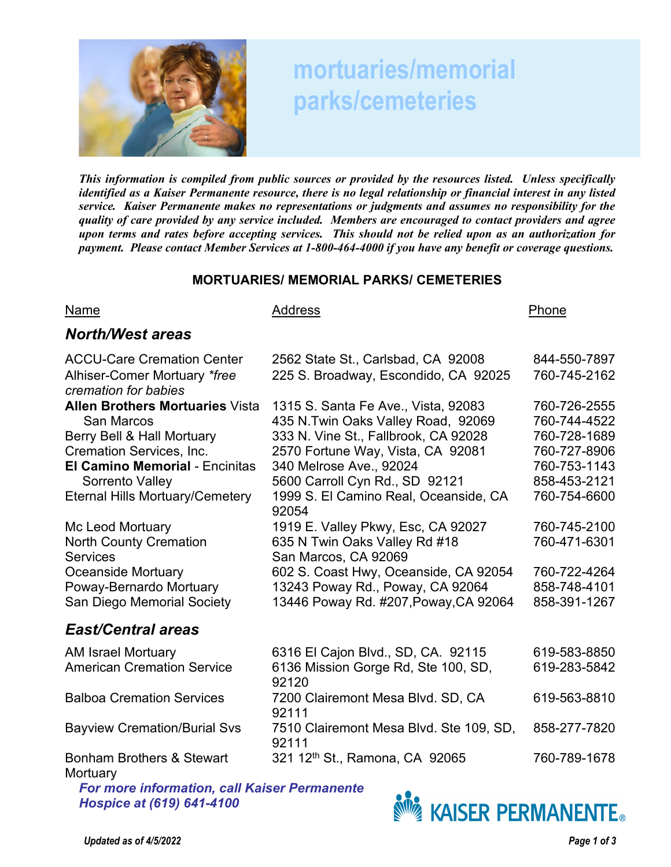

# **mortuaries/memorial parks/cemeteries**

*This information is compiled from public sources or provided by the resources listed. Unless specifically identified as a Kaiser Permanente resource, there is no legal relationship or financial interest in any listed service. Kaiser Permanente makes no representations or judgments and assumes no responsibility for the quality of care provided by any service included. Members are encouraged to contact providers and agree upon terms and rates before accepting services. This should not be relied upon as an authorization for payment. Please contact Member Services at 1-800-464-4000 if you have any benefit or coverage questions.* 

### **MORTUARIES/ MEMORIAL PARKS/ CEMETERIES**

#### Name **Address** Address **Phone**

### *North/West areas*

| <b>ACCU-Care Cremation Center</b>                    | 2562 State St., Carlsbad, CA 92008               | 844-550-7897 |
|------------------------------------------------------|--------------------------------------------------|--------------|
| Alhiser-Comer Mortuary *free<br>cremation for babies | 225 S. Broadway, Escondido, CA 92025             | 760-745-2162 |
| <b>Allen Brothers Mortuaries Vista</b>               | 1315 S. Santa Fe Ave., Vista, 92083              | 760-726-2555 |
| <b>San Marcos</b>                                    | 435 N.Twin Oaks Valley Road, 92069               | 760-744-4522 |
| Berry Bell & Hall Mortuary                           | 333 N. Vine St., Fallbrook, CA 92028             | 760-728-1689 |
| Cremation Services, Inc.                             | 2570 Fortune Way, Vista, CA 92081                | 760-727-8906 |
| <b>El Camino Memorial - Encinitas</b>                | 340 Melrose Ave., 92024                          | 760-753-1143 |
| Sorrento Valley                                      | 5600 Carroll Cyn Rd., SD 92121                   | 858-453-2121 |
| <b>Eternal Hills Mortuary/Cemetery</b>               | 1999 S. El Camino Real, Oceanside, CA            | 760-754-6600 |
|                                                      | 92054                                            |              |
| Mc Leod Mortuary                                     | 1919 E. Valley Pkwy, Esc, CA 92027               | 760-745-2100 |
| <b>North County Cremation</b>                        | 635 N Twin Oaks Valley Rd #18                    | 760-471-6301 |
| <b>Services</b>                                      | San Marcos, CA 92069                             |              |
| <b>Oceanside Mortuary</b>                            | 602 S. Coast Hwy, Oceanside, CA 92054            | 760-722-4264 |
| Poway-Bernardo Mortuary                              | 13243 Poway Rd., Poway, CA 92064                 | 858-748-4101 |
| <b>San Diego Memorial Society</b>                    | 13446 Poway Rd. #207, Poway, CA 92064            | 858-391-1267 |
| <b>East/Central areas</b>                            |                                                  |              |
| <b>AM Israel Mortuary</b>                            | 6316 El Cajon Blvd., SD, CA. 92115               | 619-583-8850 |
| <b>American Cremation Service</b>                    | 6136 Mission Gorge Rd, Ste 100, SD,<br>92120     | 619-283-5842 |
| <b>Balboa Cremation Services</b>                     | 7200 Clairemont Mesa Blvd. SD, CA<br>92111       | 619-563-8810 |
| <b>Bayview Cremation/Burial Svs</b>                  | 7510 Clairemont Mesa Blvd. Ste 109, SD,<br>92111 | 858-277-7820 |
| Bonham Brothers & Stewart<br>Mortuary                | 321 12 <sup>th</sup> St., Ramona, CA 92065       | 760-789-1678 |

*For more information, call Kaiser Permanente Hospice at (619) 641-4100* 

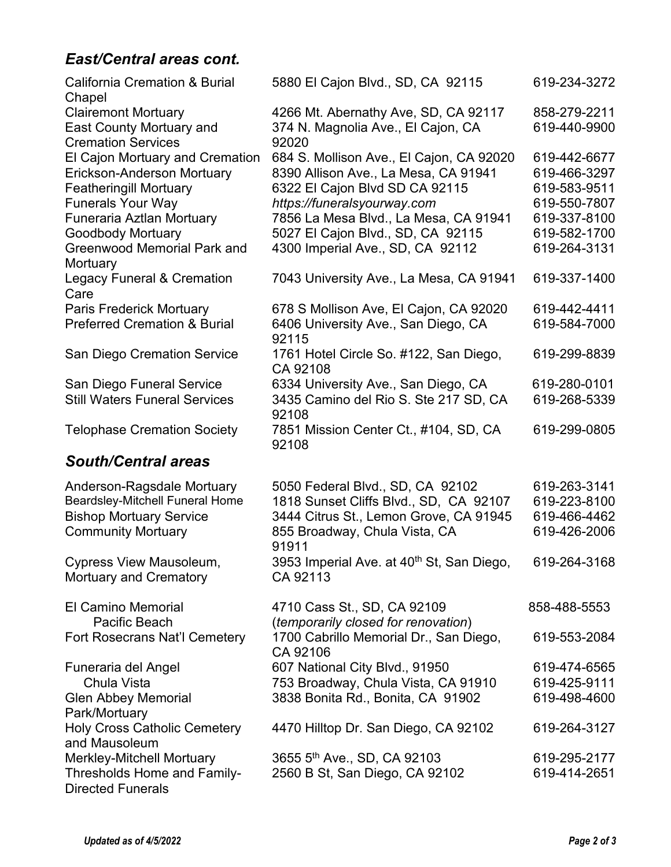# *East/Central areas cont.*

| <b>California Cremation &amp; Burial</b>                        | 5880 El Cajon Blvd., SD, CA 92115                                  | 619-234-3272 |
|-----------------------------------------------------------------|--------------------------------------------------------------------|--------------|
| Chapel<br><b>Clairemont Mortuary</b>                            | 4266 Mt. Abernathy Ave, SD, CA 92117                               | 858-279-2211 |
| East County Mortuary and                                        | 374 N. Magnolia Ave., El Cajon, CA                                 | 619-440-9900 |
| <b>Cremation Services</b>                                       | 92020                                                              |              |
| El Cajon Mortuary and Cremation                                 | 684 S. Mollison Ave., El Cajon, CA 92020                           | 619-442-6677 |
| Erickson-Anderson Mortuary                                      | 8390 Allison Ave., La Mesa, CA 91941                               | 619-466-3297 |
| <b>Featheringill Mortuary</b>                                   | 6322 El Cajon Blvd SD CA 92115                                     | 619-583-9511 |
| <b>Funerals Your Way</b>                                        | https://funeralsyourway.com                                        | 619-550-7807 |
| Funeraria Aztlan Mortuary                                       | 7856 La Mesa Blvd., La Mesa, CA 91941                              | 619-337-8100 |
| <b>Goodbody Mortuary</b>                                        | 5027 El Cajon Blvd., SD, CA 92115                                  | 619-582-1700 |
| <b>Greenwood Memorial Park and</b><br>Mortuary                  | 4300 Imperial Ave., SD, CA 92112                                   | 619-264-3131 |
| <b>Legacy Funeral &amp; Cremation</b><br>Care                   | 7043 University Ave., La Mesa, CA 91941                            | 619-337-1400 |
| <b>Paris Frederick Mortuary</b>                                 | 678 S Mollison Ave, El Cajon, CA 92020                             | 619-442-4411 |
| <b>Preferred Cremation &amp; Burial</b>                         | 6406 University Ave., San Diego, CA<br>92115                       | 619-584-7000 |
| <b>San Diego Cremation Service</b>                              | 1761 Hotel Circle So. #122, San Diego,<br>CA 92108                 | 619-299-8839 |
| San Diego Funeral Service                                       | 6334 University Ave., San Diego, CA                                | 619-280-0101 |
| <b>Still Waters Funeral Services</b>                            | 3435 Camino del Rio S. Ste 217 SD, CA<br>92108                     | 619-268-5339 |
| <b>Telophase Cremation Society</b>                              | 7851 Mission Center Ct., #104, SD, CA<br>92108                     | 619-299-0805 |
| <b>South/Central areas</b>                                      |                                                                    |              |
| Anderson-Ragsdale Mortuary                                      | 5050 Federal Blvd., SD, CA 92102                                   | 619-263-3141 |
| Beardsley-Mitchell Funeral Home                                 | 1818 Sunset Cliffs Blvd., SD, CA 92107                             | 619-223-8100 |
| <b>Bishop Mortuary Service</b>                                  | 3444 Citrus St., Lemon Grove, CA 91945                             | 619-466-4462 |
| <b>Community Mortuary</b>                                       | 855 Broadway, Chula Vista, CA<br>91911                             | 619-426-2006 |
| <b>Cypress View Mausoleum,</b><br><b>Mortuary and Crematory</b> | 3953 Imperial Ave. at 40 <sup>th</sup> St, San Diego,<br>CA 92113  | 619-264-3168 |
| El Camino Memorial<br>Pacific Beach                             | 4710 Cass St., SD, CA 92109<br>(temporarily closed for renovation) | 858-488-5553 |
| Fort Rosecrans Nat'l Cemetery                                   | 1700 Cabrillo Memorial Dr., San Diego,<br>CA 92106                 | 619-553-2084 |
| Funeraria del Angel                                             | 607 National City Blvd., 91950                                     | 619-474-6565 |
| Chula Vista                                                     | 753 Broadway, Chula Vista, CA 91910                                | 619-425-9111 |
| <b>Glen Abbey Memorial</b><br>Park/Mortuary                     | 3838 Bonita Rd., Bonita, CA 91902                                  | 619-498-4600 |
| <b>Holy Cross Catholic Cemetery</b><br>and Mausoleum            | 4470 Hilltop Dr. San Diego, CA 92102                               | 619-264-3127 |
| <b>Merkley-Mitchell Mortuary</b>                                | 3655 5th Ave., SD, CA 92103                                        | 619-295-2177 |
| Thresholds Home and Family-                                     | 2560 B St, San Diego, CA 92102                                     | 619-414-2651 |
| <b>Directed Funerals</b>                                        |                                                                    |              |